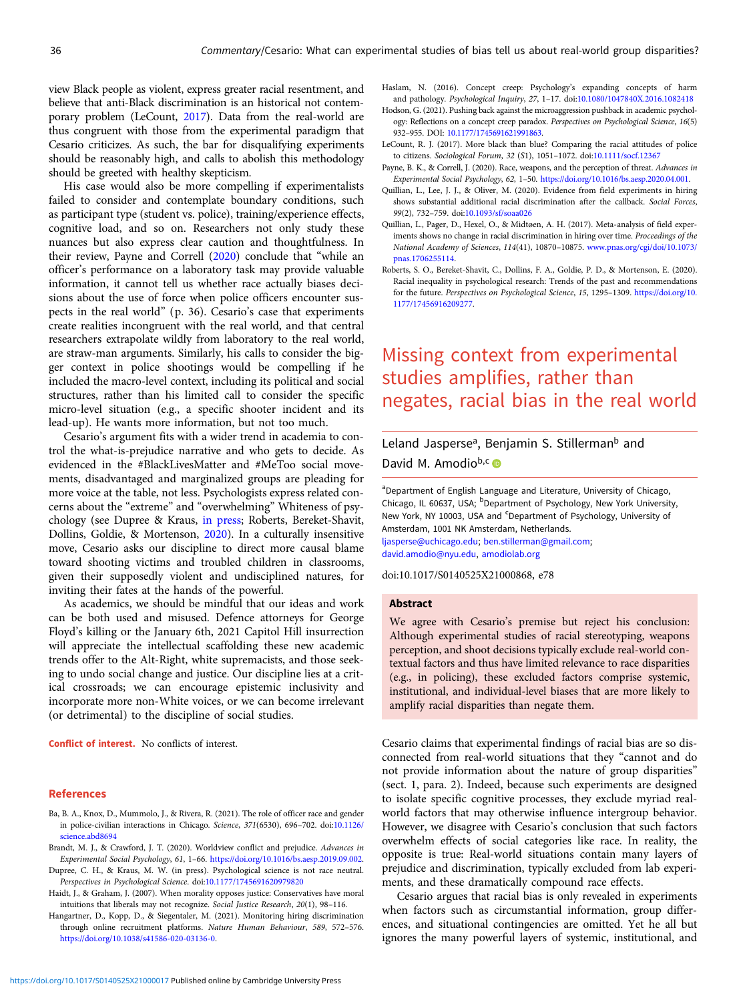<span id="page-0-0"></span>view Black people as violent, express greater racial resentment, and believe that anti-Black discrimination is an historical not contemporary problem (LeCount, 2017). Data from the real-world are thus congruent with those from the experimental paradigm that Cesario criticizes. As such, the bar for disqualifying experiments should be reasonably high, and calls to abolish this methodology should be greeted with healthy skepticism.

His case would also be more compelling if experimentalists failed to consider and contemplate boundary conditions, such as participant type (student vs. police), training/experience effects, cognitive load, and so on. Researchers not only study these nuances but also express clear caution and thoughtfulness. In their review, Payne and Correll (2020) conclude that "while an officer's performance on a laboratory task may provide valuable information, it cannot tell us whether race actually biases decisions about the use of force when police officers encounter suspects in the real world" (p. 36). Cesario's case that experiments create realities incongruent with the real world, and that central researchers extrapolate wildly from laboratory to the real world, are straw-man arguments. Similarly, his calls to consider the bigger context in police shootings would be compelling if he included the macro-level context, including its political and social structures, rather than his limited call to consider the specific micro-level situation (e.g., a specific shooter incident and its lead-up). He wants more information, but not too much.

Cesario's argument fits with a wider trend in academia to control the what-is-prejudice narrative and who gets to decide. As evidenced in the #BlackLivesMatter and #MeToo social movements, disadvantaged and marginalized groups are pleading for more voice at the table, not less. Psychologists express related concerns about the "extreme" and "overwhelming" Whiteness of psychology (see Dupree & Kraus, in press; Roberts, Bereket-Shavit, Dollins, Goldie, & Mortenson, 2020). In a culturally insensitive move, Cesario asks our discipline to direct more causal blame toward shooting victims and troubled children in classrooms, given their supposedly violent and undisciplined natures, for inviting their fates at the hands of the powerful.

As academics, we should be mindful that our ideas and work can be both used and misused. Defence attorneys for George Floyd's killing or the January 6th, 2021 Capitol Hill insurrection will appreciate the intellectual scaffolding these new academic trends offer to the Alt-Right, white supremacists, and those seeking to undo social change and justice. Our discipline lies at a critical crossroads; we can encourage epistemic inclusivity and incorporate more non-White voices, or we can become irrelevant (or detrimental) to the discipline of social studies.

Conflict of interest. No conflicts of interest.

#### References

- Ba, B. A., Knox, D., Mummolo, J., & Rivera, R. (2021). The role of officer race and gender in police-civilian interactions in Chicago. Science, 371(6530), 696–702. doi:[10.1126/](https://doi.org/10.1126/science.abd8694) [science.abd8694](https://doi.org/10.1126/science.abd8694)
- Brandt, M. J., & Crawford, J. T. (2020). Worldview conflict and prejudice. Advances in Experimental Social Psychology, 61, 1–66. <https://doi.org/10.1016/bs.aesp.2019.09.002>.
- Dupree, C. H., & Kraus, M. W. (in press). Psychological science is not race neutral. Perspectives in Psychological Science. doi[:10.1177/1745691620979820](https://doi.org/10.1177/1745691620979820)
- Haidt, J., & Graham, J. (2007). When morality opposes justice: Conservatives have moral intuitions that liberals may not recognize. Social Justice Research, 20(1), 98–116.
- Hangartner, D., Kopp, D., & Siegentaler, M. (2021). Monitoring hiring discrimination through online recruitment platforms. Nature Human Behaviour, 589, 572–576. <https://doi.org/10.1038/s41586-020-03136-0>.
- Hodson, G. (2021). Pushing back against the microaggression pushback in academic psychology: Reflections on a concept creep paradox. Perspectives on Psychological Science, 16(5) 932–955. DOI: [10.1177/1745691621991863](https://doi.org/10.1177/1745691621991863).
- LeCount, R. J. (2017). More black than blue? Comparing the racial attitudes of police to citizens. Sociological Forum, 32 (S1), 1051–1072. doi[:10.1111/socf.12367](https://doi.org/10.1111/socf.12367)
- Payne, B. K., & Correll, J. (2020). Race, weapons, and the perception of threat. Advances in Experimental Social Psychology, 62, 1–50. [https://doi.org/10.1016/bs.aesp.2020.04.001.](https://doi.org/10.1016/bs.aesp.2020.04.001)
- Quillian, L., Lee, J. J., & Oliver, M. (2020). Evidence from field experiments in hiring shows substantial additional racial discrimination after the callback. Social Forces, 99(2), 732–759. doi:[10.1093/sf/soaa026](https://doi.org/10.1093/sf/soaa026)
- Quillian, L., Pager, D., Hexel, O., & Midtøen, A. H. (2017). Meta-analysis of field experiments shows no change in racial discrimination in hiring over time. Proceedings of the National Academy of Sciences, 114(41), 10870–10875. [www.pnas.org/cgi/doi/10.1073/](https://www.pnas.org/cgi/doi/10.1073/pnas.1706255114) [pnas.1706255114](https://www.pnas.org/cgi/doi/10.1073/pnas.1706255114).
- Roberts, S. O., Bereket-Shavit, C., Dollins, F. A., Goldie, P. D., & Mortenson, E. (2020). Racial inequality in psychological research: Trends of the past and recommendations for the future. Perspectives on Psychological Science, 15, 1295–1309. [https://doi.org/10.](https://doi.org/10.1177/17456916209277) [1177/17456916209277.](https://doi.org/10.1177/17456916209277)

# Missing context from experimental studies amplifies, rather than negates, racial bias in the real world

## Leland Jasperse<sup>a</sup>, Benjamin S. Stillerman<sup>b</sup> and

David M. Amodiob,c D

<sup>a</sup>Department of English Language and Literature, University of Chicago, Chicago, IL 60637, USA; <sup>b</sup>Department of Psychology, New York University, New York, NY 10003, USA and <sup>c</sup>Department of Psychology, University of Amsterdam, 1001 NK Amsterdam, Netherlands. [ljasperse@uchicago.edu](mailto:ljasperse@uchicago.edu); [ben.stillerman@gmail.com;](mailto:ben.stillerman@gmail.com)

[david.amodio@nyu.edu,](mailto:david.amodio@nyu.edu) [amodiolab.org](https://amodiolab.org)

doi:10.1017/S0140525X21000868, e78

### Abstract

We agree with Cesario's premise but reject his conclusion: Although experimental studies of racial stereotyping, weapons perception, and shoot decisions typically exclude real-world contextual factors and thus have limited relevance to race disparities (e.g., in policing), these excluded factors comprise systemic, institutional, and individual-level biases that are more likely to amplify racial disparities than negate them.

Cesario claims that experimental findings of racial bias are so disconnected from real-world situations that they "cannot and do not provide information about the nature of group disparities" (sect. 1, para. 2). Indeed, because such experiments are designed to isolate specific cognitive processes, they exclude myriad realworld factors that may otherwise influence intergroup behavior. However, we disagree with Cesario's conclusion that such factors overwhelm effects of social categories like race. In reality, the opposite is true: Real-world situations contain many layers of prejudice and discrimination, typically excluded from lab experiments, and these dramatically compound race effects.

Cesario argues that racial bias is only revealed in experiments when factors such as circumstantial information, group differences, and situational contingencies are omitted. Yet he all but ignores the many powerful layers of systemic, institutional, and

Haslam, N. (2016). Concept creep: Psychology's expanding concepts of harm and pathology. Psychological Inquiry, 27, 1–17. doi:[10.1080/1047840X.2016.1082418](https://doi.org/10.1080/1047840X.2016.1082418)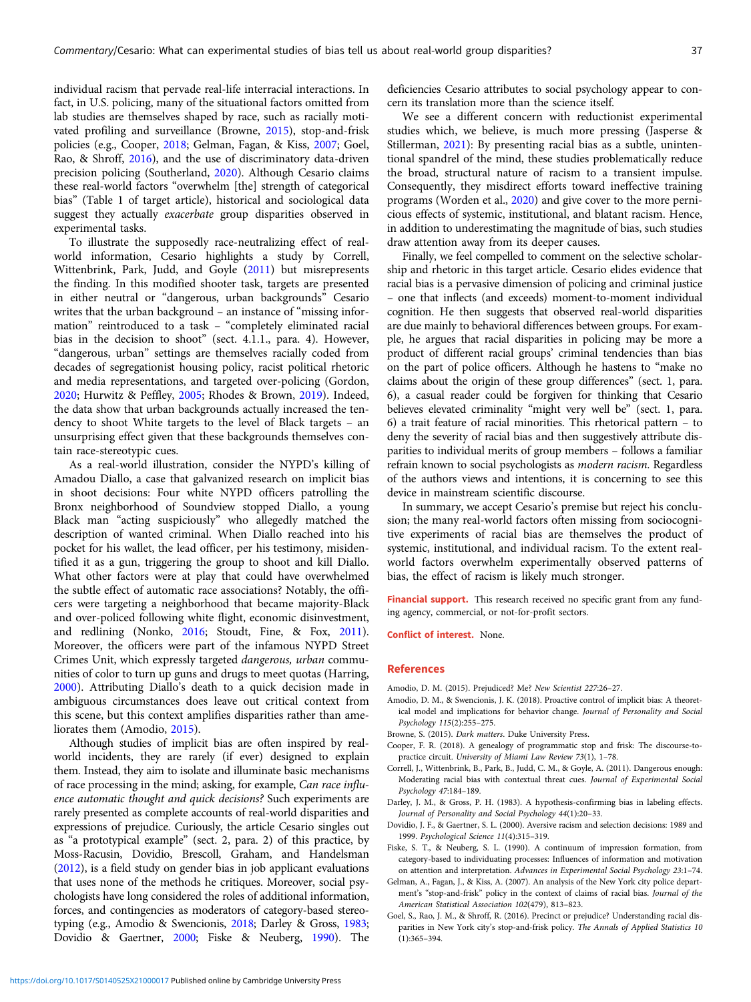individual racism that pervade real-life interracial interactions. In fact, in U.S. policing, many of the situational factors omitted from lab studies are themselves shaped by race, such as racially motivated profiling and surveillance (Browne, 2015), stop-and-frisk policies (e.g., Cooper, 2018; Gelman, Fagan, & Kiss, 2007; Goel, Rao, & Shroff, 2016), and the use of discriminatory data-driven precision policing (Southerland, [2020\)](#page-2-0). Although Cesario claims these real-world factors "overwhelm [the] strength of categorical bias" (Table 1 of target article), historical and sociological data suggest they actually exacerbate group disparities observed in experimental tasks.

To illustrate the supposedly race-neutralizing effect of realworld information, Cesario highlights a study by Correll, Wittenbrink, Park, Judd, and Goyle (2011) but misrepresents the finding. In this modified shooter task, targets are presented in either neutral or "dangerous, urban backgrounds" Cesario writes that the urban background – an instance of "missing information" reintroduced to a task – "completely eliminated racial bias in the decision to shoot" (sect. 4.1.1., para. 4). However, "dangerous, urban" settings are themselves racially coded from decades of segregationist housing policy, racist political rhetoric and media representations, and targeted over-policing (Gordon, [2020;](#page-2-0) Hurwitz & Peffley, [2005;](#page-2-0) Rhodes & Brown, [2019](#page-2-0)). Indeed, the data show that urban backgrounds actually increased the tendency to shoot White targets to the level of Black targets – an unsurprising effect given that these backgrounds themselves contain race-stereotypic cues.

As a real-world illustration, consider the NYPD's killing of Amadou Diallo, a case that galvanized research on implicit bias in shoot decisions: Four white NYPD officers patrolling the Bronx neighborhood of Soundview stopped Diallo, a young Black man "acting suspiciously" who allegedly matched the description of wanted criminal. When Diallo reached into his pocket for his wallet, the lead officer, per his testimony, misidentified it as a gun, triggering the group to shoot and kill Diallo. What other factors were at play that could have overwhelmed the subtle effect of automatic race associations? Notably, the officers were targeting a neighborhood that became majority-Black and over-policed following white flight, economic disinvestment, and redlining (Nonko, [2016](#page-2-0); Stoudt, Fine, & Fox, [2011\)](#page-2-0). Moreover, the officers were part of the infamous NYPD Street Crimes Unit, which expressly targeted dangerous, urban communities of color to turn up guns and drugs to meet quotas (Harring, [2000\)](#page-2-0). Attributing Diallo's death to a quick decision made in ambiguous circumstances does leave out critical context from this scene, but this context amplifies disparities rather than ameliorates them (Amodio, 2015).

Although studies of implicit bias are often inspired by realworld incidents, they are rarely (if ever) designed to explain them. Instead, they aim to isolate and illuminate basic mechanisms of race processing in the mind; asking, for example, Can race influence automatic thought and quick decisions? Such experiments are rarely presented as complete accounts of real-world disparities and expressions of prejudice. Curiously, the article Cesario singles out as "a prototypical example" (sect. 2, para. 2) of this practice, by Moss-Racusin, Dovidio, Brescoll, Graham, and Handelsman ([2012\)](#page-2-0), is a field study on gender bias in job applicant evaluations that uses none of the methods he critiques. Moreover, social psychologists have long considered the roles of additional information, forces, and contingencies as moderators of category-based stereotyping (e.g., Amodio & Swencionis, 2018; Darley & Gross, 1983; Dovidio & Gaertner, 2000; Fiske & Neuberg, 1990). The deficiencies Cesario attributes to social psychology appear to concern its translation more than the science itself.

We see a different concern with reductionist experimental studies which, we believe, is much more pressing (Jasperse & Stillerman, [2021\)](#page-2-0): By presenting racial bias as a subtle, unintentional spandrel of the mind, these studies problematically reduce the broad, structural nature of racism to a transient impulse. Consequently, they misdirect efforts toward ineffective training programs (Worden et al., [2020\)](#page-2-0) and give cover to the more pernicious effects of systemic, institutional, and blatant racism. Hence, in addition to underestimating the magnitude of bias, such studies draw attention away from its deeper causes.

Finally, we feel compelled to comment on the selective scholarship and rhetoric in this target article. Cesario elides evidence that racial bias is a pervasive dimension of policing and criminal justice – one that inflects (and exceeds) moment-to-moment individual cognition. He then suggests that observed real-world disparities are due mainly to behavioral differences between groups. For example, he argues that racial disparities in policing may be more a product of different racial groups' criminal tendencies than bias on the part of police officers. Although he hastens to "make no claims about the origin of these group differences" (sect. 1, para. 6), a casual reader could be forgiven for thinking that Cesario believes elevated criminality "might very well be" (sect. 1, para. 6) a trait feature of racial minorities. This rhetorical pattern – to deny the severity of racial bias and then suggestively attribute disparities to individual merits of group members – follows a familiar refrain known to social psychologists as modern racism. Regardless of the authors views and intentions, it is concerning to see this device in mainstream scientific discourse.

In summary, we accept Cesario's premise but reject his conclusion; the many real-world factors often missing from sociocognitive experiments of racial bias are themselves the product of systemic, institutional, and individual racism. To the extent realworld factors overwhelm experimentally observed patterns of bias, the effect of racism is likely much stronger.

Financial support. This research received no specific grant from any funding agency, commercial, or not-for-profit sectors.

Conflict of interest. None.

#### References

- Amodio, D. M. (2015). Prejudiced? Me? New Scientist 227:26–27.
- Amodio, D. M., & Swencionis, J. K. (2018). Proactive control of implicit bias: A theoretical model and implications for behavior change. Journal of Personality and Social Psychology 115(2):255–275.
- Browne, S. (2015). Dark matters. Duke University Press.
- Cooper, F. R. (2018). A genealogy of programmatic stop and frisk: The discourse-topractice circuit. University of Miami Law Review 73(1), 1–78.
- Correll, J., Wittenbrink, B., Park, B., Judd, C. M., & Goyle, A. (2011). Dangerous enough: Moderating racial bias with contextual threat cues. Journal of Experimental Social Psychology 47:184–189.
- Darley, J. M., & Gross, P. H. (1983). A hypothesis-confirming bias in labeling effects. Journal of Personality and Social Psychology 44(1):20–33.
- Dovidio, J. F., & Gaertner, S. L. (2000). Aversive racism and selection decisions: 1989 and 1999. Psychological Science 11(4):315–319.
- Fiske, S. T., & Neuberg, S. L. (1990). A continuum of impression formation, from category-based to individuating processes: Influences of information and motivation on attention and interpretation. Advances in Experimental Social Psychology 23:1–74.
- Gelman, A., Fagan, J., & Kiss, A. (2007). An analysis of the New York city police department's "stop-and-frisk" policy in the context of claims of racial bias. Journal of the American Statistical Association 102(479), 813–823.
- Goel, S., Rao, J. M., & Shroff, R. (2016). Precinct or prejudice? Understanding racial disparities in New York city's stop-and-frisk policy. The Annals of Applied Statistics 10 (1):365–394.